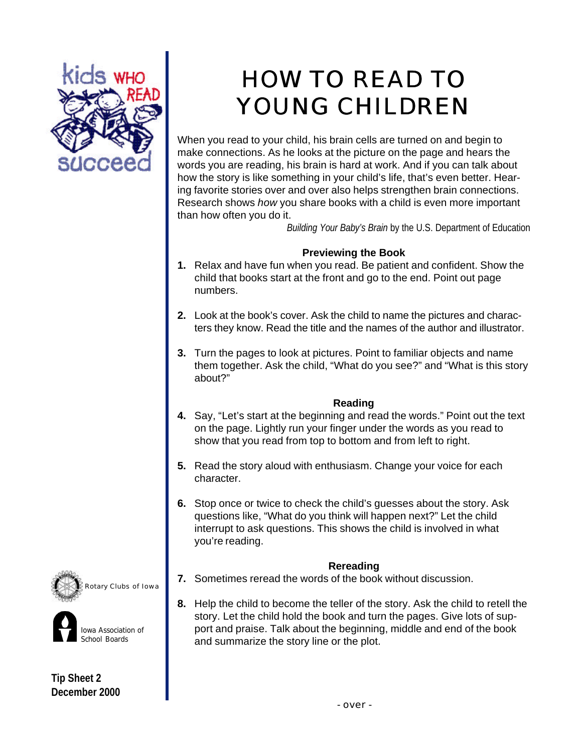

# HOW TO READ TO YOUNG CHILDREN

When you read to your child, his brain cells are turned on and begin to make connections. As he looks at the picture on the page and hears the words you are reading, his brain is hard at work. And if you can talk about how the story is like something in your child's life, that's even better. Hearing favorite stories over and over also helps strengthen brain connections. Research shows *how* you share books with a child is even more important than how often you do it.

*Building Your Baby's Brain* by the U.S. Department of Education

## **Previewing the Book**

- **1.** Relax and have fun when you read. Be patient and confident. Show the child that books start at the front and go to the end. Point out page numbers.
- **2.** Look at the book's cover. Ask the child to name the pictures and characters they know. Read the title and the names of the author and illustrator.
- **3.** Turn the pages to look at pictures. Point to familiar objects and name them together. Ask the child, "What do you see?" and "What is this story about?"

### **Reading**

- **4.** Say, "Let's start at the beginning and read the words." Point out the text on the page. Lightly run your finger under the words as you read to show that you read from top to bottom and from left to right.
- **5.** Read the story aloud with enthusiasm. Change your voice for each character.
- **6.** Stop once or twice to check the child's guesses about the story. Ask questions like, "What do you think will happen next?" Let the child interrupt to ask questions. This shows the child is involved in what you're reading.

### **Rereading**

- **7.** Sometimes reread the words of the book without discussion.
- **8.** Help the child to become the teller of the story. Ask the child to retell the story. Let the child hold the book and turn the pages. Give lots of support and praise. Talk about the beginning, middle and end of the book and summarize the story line or the plot.





**Tip Sheet 2 December 2000**